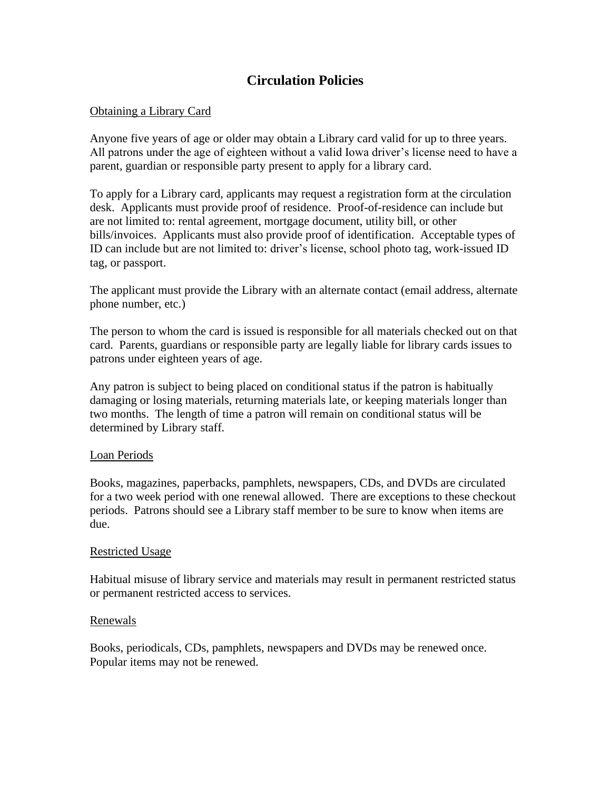## **Circulation Policies**

### Obtaining a Library Card

Anyone five years of age or older may obtain a Library card valid for up to three years. All patrons under the age of eighteen without a valid Iowa driver's license need to have a parent, guardian or responsible party present to apply for a library card.

To apply for a Library card, applicants may request a registration form at the circulation desk. Applicants must provide proof of residence. Proof-of-residence can include but are not limited to: rental agreement, mortgage document, utility bill, or other bills/invoices. Applicants must also provide proof of identification. Acceptable types of ID can include but are not limited to: driver's license, school photo tag, work-issued ID tag, or passport.

The applicant must provide the Library with an alternate contact (email address, alternate phone number, etc.)

The person to whom the card is issued is responsible for all materials checked out on that card. Parents, guardians or responsible party are legally liable for library cards issues to patrons under eighteen years of age.

Any patron is subject to being placed on conditional status if the patron is habitually damaging or losing materials, returning materials late, or keeping materials longer than two months. The length of time a patron will remain on conditional status will be determined by Library staff.

### Loan Periods

Books, magazines, paperbacks, pamphlets, newspapers, CDs, and DVDs are circulated for a two week period with one renewal allowed. There are exceptions to these checkout periods. Patrons should see a Library staff member to be sure to know when items are due.

### Restricted Usage

Habitual misuse of library service and materials may result in permanent restricted status or permanent restricted access to services.

### Renewals

Books, periodicals, CDs, pamphlets, newspapers and DVDs may be renewed once. Popular items may not be renewed.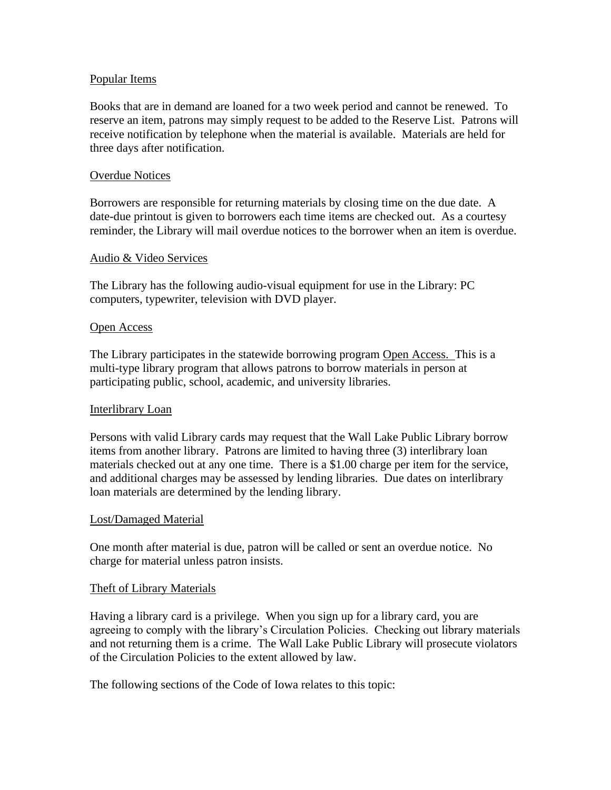### Popular Items

Books that are in demand are loaned for a two week period and cannot be renewed. To reserve an item, patrons may simply request to be added to the Reserve List. Patrons will receive notification by telephone when the material is available. Materials are held for three days after notification.

#### Overdue Notices

Borrowers are responsible for returning materials by closing time on the due date. A date-due printout is given to borrowers each time items are checked out. As a courtesy reminder, the Library will mail overdue notices to the borrower when an item is overdue.

#### Audio & Video Services

The Library has the following audio-visual equipment for use in the Library: PC computers, typewriter, television with DVD player.

#### Open Access

The Library participates in the statewide borrowing program Open Access. This is a multi-type library program that allows patrons to borrow materials in person at participating public, school, academic, and university libraries.

#### Interlibrary Loan

Persons with valid Library cards may request that the Wall Lake Public Library borrow items from another library. Patrons are limited to having three (3) interlibrary loan materials checked out at any one time. There is a \$1.00 charge per item for the service, and additional charges may be assessed by lending libraries. Due dates on interlibrary loan materials are determined by the lending library.

#### Lost/Damaged Material

One month after material is due, patron will be called or sent an overdue notice. No charge for material unless patron insists.

#### Theft of Library Materials

Having a library card is a privilege. When you sign up for a library card, you are agreeing to comply with the library's Circulation Policies. Checking out library materials and not returning them is a crime. The Wall Lake Public Library will prosecute violators of the Circulation Policies to the extent allowed by law.

The following sections of the Code of Iowa relates to this topic: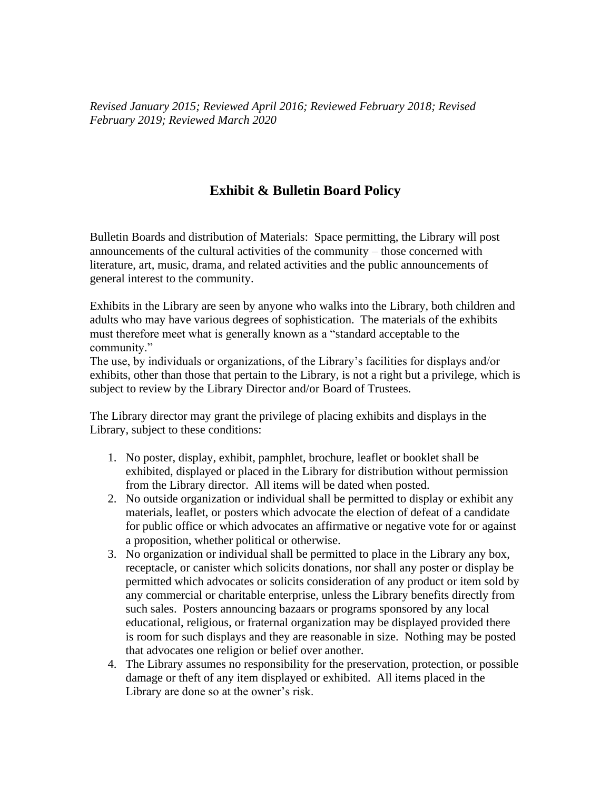*Revised January 2015; Reviewed April 2016; Reviewed February 2018; Revised February 2019; Reviewed March 2020*

## **Exhibit & Bulletin Board Policy**

Bulletin Boards and distribution of Materials: Space permitting, the Library will post announcements of the cultural activities of the community – those concerned with literature, art, music, drama, and related activities and the public announcements of general interest to the community.

Exhibits in the Library are seen by anyone who walks into the Library, both children and adults who may have various degrees of sophistication. The materials of the exhibits must therefore meet what is generally known as a "standard acceptable to the community."

The use, by individuals or organizations, of the Library's facilities for displays and/or exhibits, other than those that pertain to the Library, is not a right but a privilege, which is subject to review by the Library Director and/or Board of Trustees.

The Library director may grant the privilege of placing exhibits and displays in the Library, subject to these conditions:

- 1. No poster, display, exhibit, pamphlet, brochure, leaflet or booklet shall be exhibited, displayed or placed in the Library for distribution without permission from the Library director. All items will be dated when posted.
- 2. No outside organization or individual shall be permitted to display or exhibit any materials, leaflet, or posters which advocate the election of defeat of a candidate for public office or which advocates an affirmative or negative vote for or against a proposition, whether political or otherwise.
- 3. No organization or individual shall be permitted to place in the Library any box, receptacle, or canister which solicits donations, nor shall any poster or display be permitted which advocates or solicits consideration of any product or item sold by any commercial or charitable enterprise, unless the Library benefits directly from such sales. Posters announcing bazaars or programs sponsored by any local educational, religious, or fraternal organization may be displayed provided there is room for such displays and they are reasonable in size. Nothing may be posted that advocates one religion or belief over another.
- 4. The Library assumes no responsibility for the preservation, protection, or possible damage or theft of any item displayed or exhibited. All items placed in the Library are done so at the owner's risk.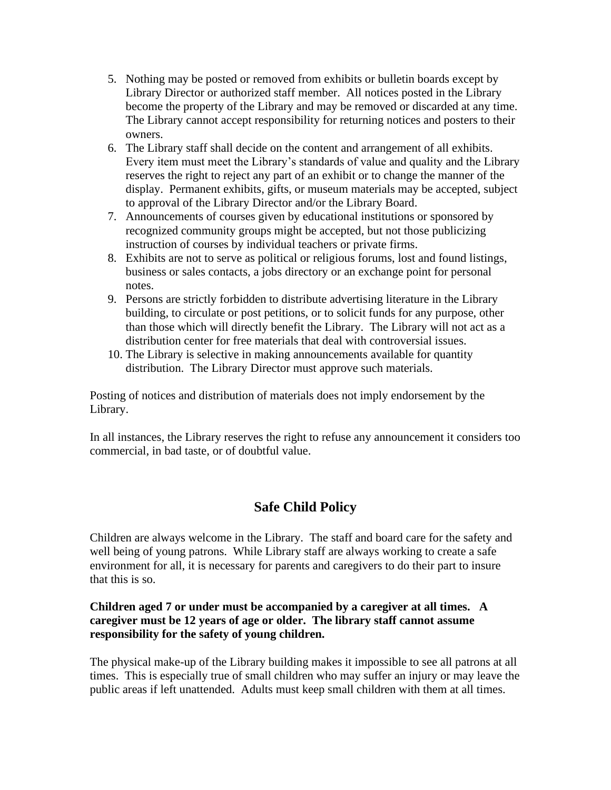- 5. Nothing may be posted or removed from exhibits or bulletin boards except by Library Director or authorized staff member. All notices posted in the Library become the property of the Library and may be removed or discarded at any time. The Library cannot accept responsibility for returning notices and posters to their owners.
- 6. The Library staff shall decide on the content and arrangement of all exhibits. Every item must meet the Library's standards of value and quality and the Library reserves the right to reject any part of an exhibit or to change the manner of the display. Permanent exhibits, gifts, or museum materials may be accepted, subject to approval of the Library Director and/or the Library Board.
- 7. Announcements of courses given by educational institutions or sponsored by recognized community groups might be accepted, but not those publicizing instruction of courses by individual teachers or private firms.
- 8. Exhibits are not to serve as political or religious forums, lost and found listings, business or sales contacts, a jobs directory or an exchange point for personal notes.
- 9. Persons are strictly forbidden to distribute advertising literature in the Library building, to circulate or post petitions, or to solicit funds for any purpose, other than those which will directly benefit the Library. The Library will not act as a distribution center for free materials that deal with controversial issues.
- 10. The Library is selective in making announcements available for quantity distribution. The Library Director must approve such materials.

Posting of notices and distribution of materials does not imply endorsement by the Library.

In all instances, the Library reserves the right to refuse any announcement it considers too commercial, in bad taste, or of doubtful value.

## **Safe Child Policy**

Children are always welcome in the Library. The staff and board care for the safety and well being of young patrons. While Library staff are always working to create a safe environment for all, it is necessary for parents and caregivers to do their part to insure that this is so.

## **Children aged 7 or under must be accompanied by a caregiver at all times. A caregiver must be 12 years of age or older. The library staff cannot assume responsibility for the safety of young children.**

The physical make-up of the Library building makes it impossible to see all patrons at all times. This is especially true of small children who may suffer an injury or may leave the public areas if left unattended. Adults must keep small children with them at all times.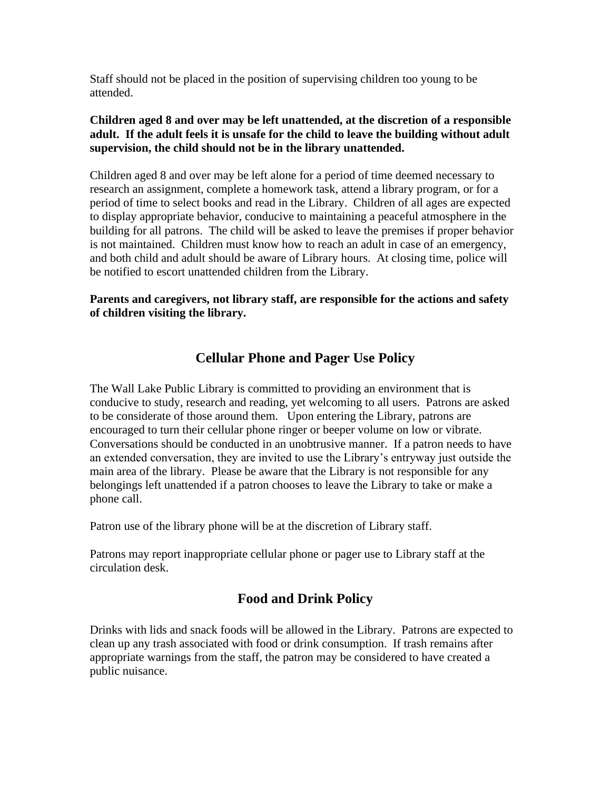Staff should not be placed in the position of supervising children too young to be attended.

## **Children aged 8 and over may be left unattended, at the discretion of a responsible adult. If the adult feels it is unsafe for the child to leave the building without adult supervision, the child should not be in the library unattended.**

Children aged 8 and over may be left alone for a period of time deemed necessary to research an assignment, complete a homework task, attend a library program, or for a period of time to select books and read in the Library. Children of all ages are expected to display appropriate behavior, conducive to maintaining a peaceful atmosphere in the building for all patrons. The child will be asked to leave the premises if proper behavior is not maintained. Children must know how to reach an adult in case of an emergency, and both child and adult should be aware of Library hours. At closing time, police will be notified to escort unattended children from the Library.

## **Parents and caregivers, not library staff, are responsible for the actions and safety of children visiting the library.**

## **Cellular Phone and Pager Use Policy**

The Wall Lake Public Library is committed to providing an environment that is conducive to study, research and reading, yet welcoming to all users. Patrons are asked to be considerate of those around them. Upon entering the Library, patrons are encouraged to turn their cellular phone ringer or beeper volume on low or vibrate. Conversations should be conducted in an unobtrusive manner. If a patron needs to have an extended conversation, they are invited to use the Library's entryway just outside the main area of the library. Please be aware that the Library is not responsible for any belongings left unattended if a patron chooses to leave the Library to take or make a phone call.

Patron use of the library phone will be at the discretion of Library staff.

Patrons may report inappropriate cellular phone or pager use to Library staff at the circulation desk.

## **Food and Drink Policy**

Drinks with lids and snack foods will be allowed in the Library. Patrons are expected to clean up any trash associated with food or drink consumption. If trash remains after appropriate warnings from the staff, the patron may be considered to have created a public nuisance.